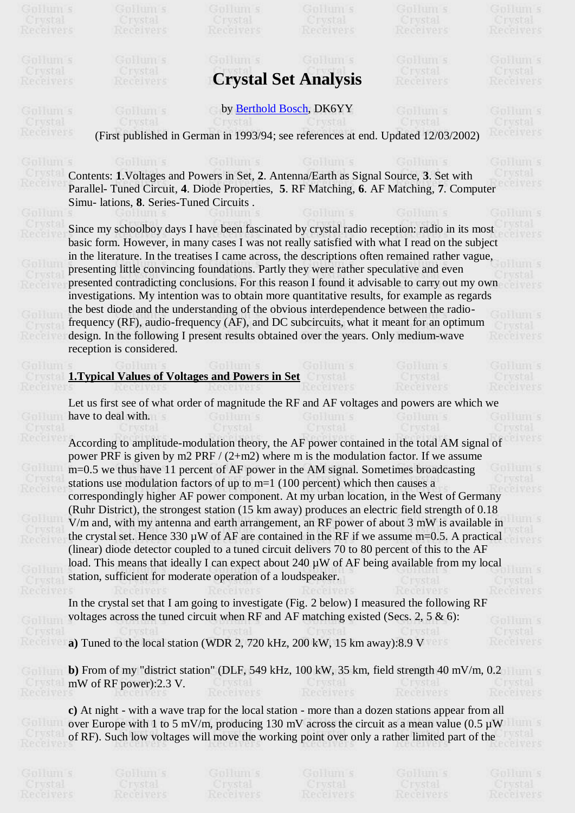**Crystal Set Analysis**  by [Berthold Bosch,](mailto:Berthold.Bosch@ruhr-uni-bochum.de) DK6YY (First published in German in 1993/94; see references at end. Updated 12/03/2002) Contents: **1**.Voltages and Powers in Set, **2**. Antenna/Earth as Signal Source, **3**. Set with Parallel- Tuned Circuit, **4**. Diode Properties, **5**. RF Matching, **6**. AF Matching, **7**. Computer Simu- lations, **8**. Series-Tuned Circuits . Since my schoolboy days I have been fascinated by crystal radio reception: radio in its most basic form. However, in many cases I was not really satisfied with what I read on the subject in the literature. In the treatises I came across, the descriptions often remained rather vague, presenting little convincing foundations. Partly they were rather speculative and even presented contradicting conclusions. For this reason I found it advisable to carry out my own investigations. My intention was to obtain more quantitative results, for example as regards the best diode and the understanding of the obvious interdependence between the radiofrequency (RF), audio-frequency (AF), and DC subcircuits, what it meant for an optimum design. In the following I present results obtained over the years. Only medium-wave reception is considered. **1.Typical Values of Voltages and Powers in Set** Let us first see of what order of magnitude the RF and AF voltages and powers are which we have to deal with. According to amplitude-modulation theory, the AF power contained in the total AM signal of power PRF is given by m2 PRF / (2+m2) where m is the modulation factor. If we assume m=0.5 we thus have 11 percent of AF power in the AM signal. Sometimes broadcasting stations use modulation factors of up to m=1 (100 percent) which then causes a correspondingly higher AF power component. At my urban location, in the West of Germany (Ruhr District), the strongest station (15 km away) produces an electric field strength of 0.18 V/m and, with my antenna and earth arrangement, an RF power of about 3 mW is available in the crystal set. Hence 330 µW of AF are contained in the RF if we assume m=0.5. A practical (linear) diode detector coupled to a tuned circuit delivers 70 to 80 percent of this to the AF load. This means that ideally I can expect about 240 µW of AF being available from my local station, sufficient for moderate operation of a loudspeaker. In the crystal set that I am going to investigate (Fig. 2 below) I measured the following RF voltages across the tuned circuit when RF and AF matching existed (Secs. 2, 5  $\&$  6): **a)** Tuned to the local station (WDR 2, 720 kHz, 200 kW, 15 km away):8.9 V **b**) From of my "district station" (DLF, 549 kHz, 100 kW, 35 km, field strength 40 mV/m, 0.2 mW of RF power): 2.3 V mW of RF power):2.3 V. **c)** At night - with a wave trap for the local station - more than a dozen stations appear from all over Europe with 1 to 5 mV/m, producing 130 mV across the circuit as a mean value (0.5  $\mu$ W) of RF). Such low voltages will move the working point over only a rather limited part of the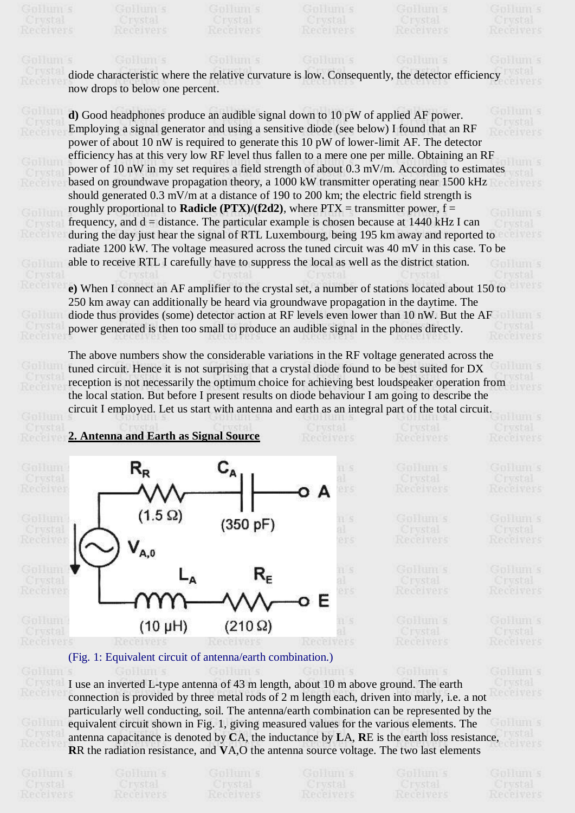diode characteristic where the relative curvature is low. Consequently, the detector efficiency when now drops to below one percent now drops to below one percent. **d)** Good headphones produce an audible signal down to 10 pW of applied AF power. Employing a signal generator and using a sensitive diode (see below) I found that an RF power of about 10 nW is required to generate this 10 pW of lower-limit AF. The detector efficiency has at this very low RF level thus fallen to a mere one per mille. Obtaining an RF power of 10 nW in my set requires a field strength of about 0.3 mV/m. According to estimates<br>based on groundwave propagation theory, a 1000 kW transmitter operating near 1500 kHz based on groundwave propagation theory, a 1000 kW transmitter operating near 1500 kHz should generated 0.3 mV/m at a distance of 190 to 200 km; the electric field strength is roughly proportional to **Radicle (PTX)/(f2d2)**, where  $PTX =$  transmitter power,  $f =$ frequency, and  $d =$  distance. The particular example is chosen because at  $1440$  kHz I can during the day just hear the signal of RTL Luxembourg, being 195 km away and reported to radiate 1200 kW. The voltage measured across the tuned circuit was 40 mV in this case. To be able to receive RTL I carefully have to suppress the local as well as the district station. **e)** When I connect an AF amplifier to the crystal set, a number of stations located about 150 to 250 km away can additionally be heard via groundwave propagation in the daytime. The

diode thus provides (some) detector action at RF levels even lower than 10 nW. But the AF power generated is then too small to produce an audible signal in the phones directly.

The above numbers show the considerable variations in the RF voltage generated across the tuned circuit. Hence it is not surprising that a crystal diode found to be best suited for DX tuned circuit. Hence it is not surprising that a crystal diode found to be best suited for DX reception is not necessarily the optimum choice for achieving best loudspeaker operation from the local station. But before I present results on diode behaviour I am going to describe the circuit I employed. Let us start with antenna and earth as an integral part of the total circuit.



I use an inverted L-type antenna of 43 m length, about 10 m above ground. The earth connection is provided by three metal rods of 2 m length each, driven into marly, i.e. a not connection is provided by three metal rods of  $\angle$  m length each, driven into marty, i.e. a not particularly well conducting, soil. The antenna/earth combination can be represented by the equivalent circuit shown in Fig. 1, giving measured values for the various elements. The antenna capacitance is denoted by **C**A, the inductance by **L**A, **R**E is the earth loss resistance, **R**R the radiation resistance, and **V**A,O the antenna source voltage. The two last elements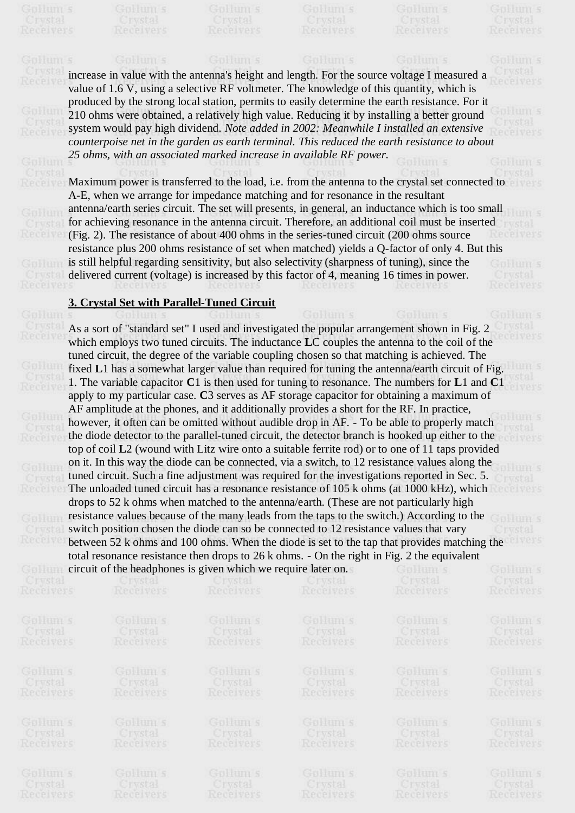increase in value with the antenna's height and length. For the source voltage I measured a value of 1.6 V, using a selective RF voltmeter. The knowledge of this quantity, which is

produced by the strong local station, permits to easily determine the earth resistance. For it 210 ohms were obtained, a relatively high value. Reducing it by installing a better ground system would pay high dividend. *Note added in 2002: Meanwhile I installed an extensive counterpoise net in the garden as earth terminal. This reduced the earth resistance to about 25 ohms, with an associated marked increase in available RF power.* 

Maximum power is transferred to the load, i.e. from the antenna to the crystal set connected to A-E, when we arrange for impedance matching and for resonance in the resultant antenna/earth series circuit. The set will presents, in general, an inductance which is too small for achieving resonance in the antenna circuit. Therefore, an additional coil must be inserted (Fig. 2). The resistance of about 400 ohms in the series-tuned circuit (200 ohms source resistance plus 200 ohms resistance of set when matched) yields a Q-factor of only 4. But this is still helpful regarding sensitivity, but also selectivity (sharpness of tuning), since the delivered current (voltage) is increased by this factor of 4, meaning 16 times in power.

## **3. Crystal Set with Parallel-Tuned Circuit**

As a sort of "standard set" I used and investigated the popular arrangement shown in Fig. 2 which employs two tuned circuits. The inductance **LC** couples the antenna to the coil of the tuned circuit, the degree of the variable coupling chosen so that matching is achieved. The fixed **L**1 has a somewhat larger value than required for tuning the antenna/earth circuit of Fig. 1. The variable capacitor **C**1 is then used for tuning to resonance. The numbers for **L**1 and **C**1 apply to my particular case. **C**3 serves as AF storage capacitor for obtaining a maximum of AF amplitude at the phones, and it additionally provides a short for the RF. In practice, however, it often can be omitted without audible drop in AF. - To be able to properly match the diode detector to the parallel-tuned circuit, the detector branch is hooked up either to the top of coil **L**2 (wound with Litz wire onto a suitable ferrite rod) or to one of 11 taps provided on it. In this way the diode can be connected, via a switch, to 12 resistance values along the tuned circuit. Such a fine adjustment was required for the investigations reported in Sec. 5. The unloaded tuned circuit has a resonance resistance of 105 k ohms (at 1000 kHz), which drops to 52 k ohms when matched to the antenna/earth. (These are not particularly high resistance values because of the many leads from the taps to the switch.) According to the switch position chosen the diode can so be connected to 12 resistance values that vary between 52 k ohms and 100 ohms. When the diode is set to the tap that provides matching the total resonance resistance then drops to 26 k ohms. - On the right in Fig. 2 the equivalent circuit of the headphones is given which we require later on.

| STRUCK 3<br>Crystal<br>Receivers | <b>AND PROPERTY</b><br>Crystal<br>Receivers | ັ<br><b>ASSESSMENT COM</b><br>Crystal<br>Receivers | $\mathbf{r}$<br>Crystal<br>Receivers | <b>ASSESSMENT COM</b><br>Crystal<br>Receivers | SOUTHLY 3<br>Crystal<br>Receivers |
|----------------------------------|---------------------------------------------|----------------------------------------------------|--------------------------------------|-----------------------------------------------|-----------------------------------|
| GpHum s                          | GpHun s                                     | Gpeum s                                            | GpHum s                              | Gpeum s                                       | GpHum s                           |
| <b>Crystal</b>                   | Crystal                                     | Crystal                                            | Crystal                              | Crystal                                       | Crystal                           |
| Receivers                        | <b>Neceivers</b>                            | <b>Neceivers</b>                                   | Receivers                            | Receivers                                     | <b>Nece vers</b>                  |
| GBHUILS                          | GBHUILS                                     | GBHUILS                                            | GpHum s                              | GpHum s                                       | GpHum s                           |
| <b>Crystal</b>                   | Crystal                                     | Crystal                                            | Crystal                              | Crystal                                       | Crystal                           |
| Receivers                        | Receivers                                   | Receivers                                          | Receivers                            | Receivers                                     | Receivers                         |
| GB-HITH S                        | GB-HITH S                                   | GB-HITH S                                          | Gphum s                              | Gullum s                                      | GpHum s                           |
| Crystal                          | Crystal                                     | Crystal                                            | Crystal                              | Crystal                                       | Crystal                           |
| Receivers                        | <b>Nece vers</b>                            | Receivers                                          | Receivers                            | Receivers                                     | <b>Nece vers</b>                  |
| GpHum s                          | GBHUILS                                     | GpHum s                                            | GBHUILS                              | Gulaum s                                      | GpHum s                           |
| Crystal                          | Crystal                                     | Crystal                                            | Crystal                              | <b>CTWSFAL</b>                                | Crystal                           |
| Receivers                        | <b>Neceivers</b>                            | <b>Nece vers</b>                                   | Receivers                            | Receivers                                     | Receivers                         |
|                                  |                                             |                                                    |                                      |                                               |                                   |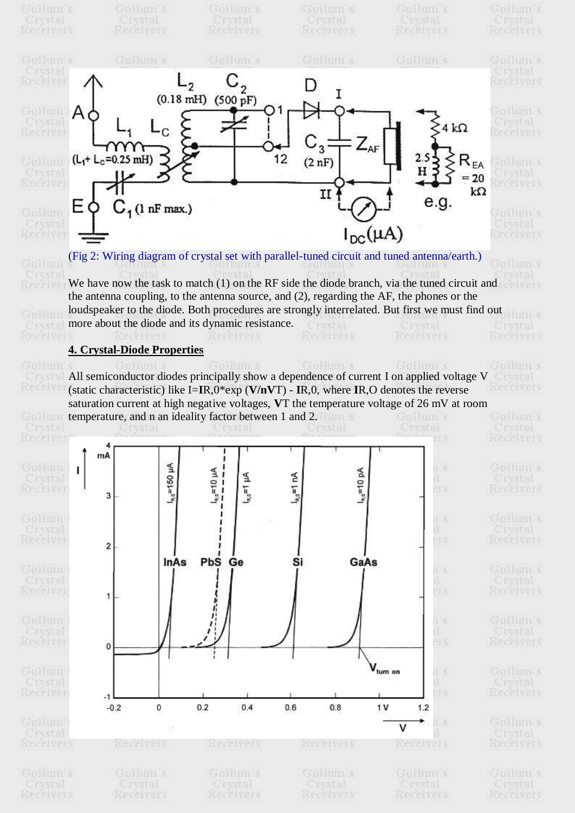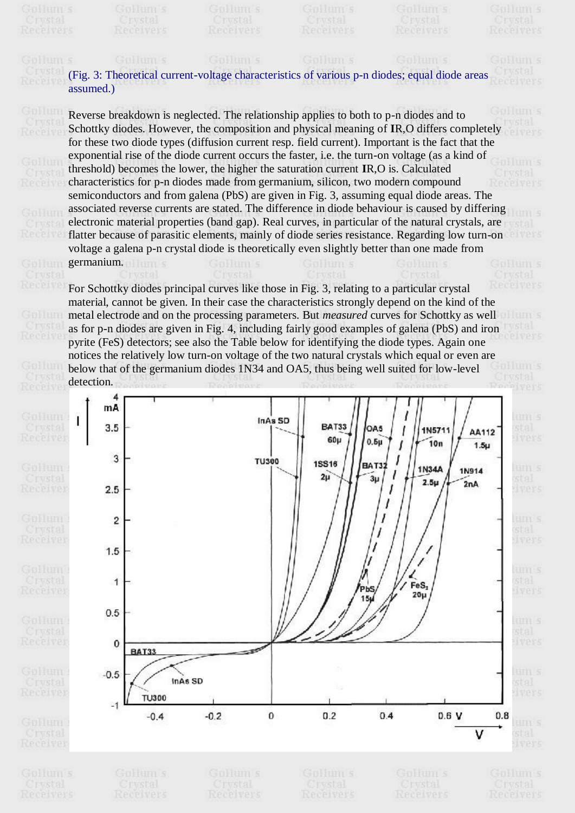(Fig. 3: Theoretical current-voltage characteristics of various p-n diodes; equal diode areas assumed.) Reverse breakdown is neglected. The relationship applies to both to p-n diodes and to Schottky diodes. However, the composition and physical meaning of **IR**,O differs completely for these two diode types (diffusion current resp. field current). Important is the fact that the exponential rise of the diode current occurs the faster, i.e. the turn-on voltage (as a kind of threshold) becomes the lower, the higher the saturation current **I**R,O is. Calculated characteristics for p-n diodes made from germanium, silicon, two modern compound semiconductors and from galena (PbS) are given in Fig. 3, assuming equal diode areas. The associated reverse currents are stated. The difference in diode behaviour is caused by differing electronic material properties (band gap). Real curves, in particular of the natural crystals, are flatter because of parasitic elements, mainly of diode series resistance. Regarding low turn-on voltage a galena p-n crystal diode is theoretically even slightly better than one made from germanium. For Schottky diodes principal curves like those in Fig. 3, relating to a particular crystal material, cannot be given. In their case the characteristics strongly depend on the kind of the metal electrode and on the processing parameters. But *measured* curves for Schottky as well as for p-n diodes are given in Fig. 4, including fairly good examples of galena (PbS) and iron pyrite (FeS) detectors; see also the Table below for identifying the diode types. Again one notices the relatively low turn-on voltage of the two natural crystals which equal or even are below that of the germanium diodes 1N34 and OA5, thus being well suited for low-level detection. $mA$ I InAs SD **BAT33**  $3.5$ OA5 I **1N5711 AA112**  $60\mu$  $0.5<sub>u</sub>$  $\overline{I}$  $10n$  $1.5<sub>U</sub>$ 3 I **TU300 1SS16 BAT32** 1N34A 1N914  $\prime$  $\tilde{3}\mu$  $2\mu$  $2.5<sub>u</sub>$ 2<sub>nA</sub>  $\overline{1}$  $2.5$  $\prime$  $\overline{2}$  $\prime$  $\prime$ 1  $1.5$  $\overline{\phantom{a}}$ Z  $\overline{1}$ FeS<sub>z</sub> PhS  $20<sub>U</sub>$ 15  $0.5$  $\mathbf{0}$ **BAT33**  $-0.5$ InAs SD TLI300  $-1$  $-0.2$  $\mathbf{0}$  $0.2$  $0.4$  $0.6V$  $0.8$  $-0.4$ in a component ar ya Martin a ya Manazarta Matana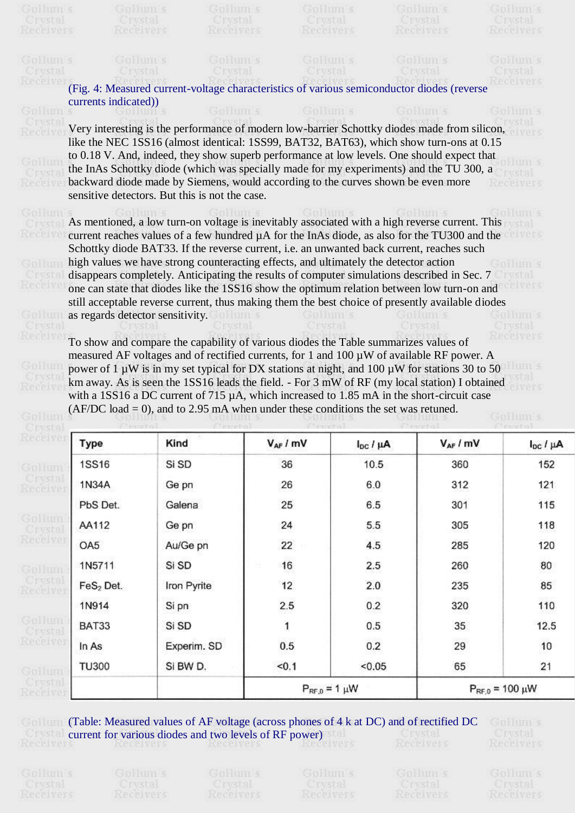| <b>SELLINES</b><br><b>NECEIVENS</b> | GBHUH 5<br><b>TWSER</b><br><b>Neceivers</b> | GEBRUITE S<br><b>Neceivers</b>                                                                                                                                                                                                                                                                                                                                                                          |               | Goldum s<br><b>Neceivers</b> | GENERAL S<br><b>Neceivers</b> | GBHUILS<br><b>Neceivers</b>        |
|-------------------------------------|---------------------------------------------|---------------------------------------------------------------------------------------------------------------------------------------------------------------------------------------------------------------------------------------------------------------------------------------------------------------------------------------------------------------------------------------------------------|---------------|------------------------------|-------------------------------|------------------------------------|
|                                     | GEBRUITES                                   | GREETH S                                                                                                                                                                                                                                                                                                                                                                                                |               | G-BREHM S                    | G-BRETTH S                    | SERVICERS S                        |
|                                     | currents indicated))                        | (Fig. 4: Measured current-voltage characteristics of various semiconductor diodes (reverse                                                                                                                                                                                                                                                                                                              |               |                              |                               |                                    |
| <b>FELLETT</b>                      |                                             | GBHUILS                                                                                                                                                                                                                                                                                                                                                                                                 |               | Gullum s                     | Goldum s                      | <b>SHEETH'S</b>                    |
|                                     |                                             | Very interesting is the performance of modern low-barrier Schottky diodes made from silicon,<br>like the NEC 1SS16 (almost identical: 1SS99, BAT32, BAT63), which show turn-ons at 0.15<br>to 0.18 V. And, indeed, they show superb performance at low levels. One should expect that<br>the InAs Schottky diode (which was specially made for my experiments) and the TU 300, a                        |               |                              |                               |                                    |
|                                     |                                             | backward diode made by Siemens, would according to the curves shown be even more<br>sensitive detectors. But this is not the case.                                                                                                                                                                                                                                                                      |               |                              |                               |                                    |
|                                     |                                             | As mentioned, a low turn-on voltage is inevitably associated with a high reverse current. This<br>current reaches values of a few hundred $\mu A$ for the InAs diode, as also for the TU300 and the<br>Schottky diode BAT33. If the reverse current, i.e. an unwanted back current, reaches such                                                                                                        |               |                              |                               |                                    |
|                                     |                                             | high values we have strong counteracting effects, and ultimately the detector action<br>disappears completely. Anticipating the results of computer simulations described in Sec. 7<br>one can state that diodes like the 1SS16 show the optimum relation between low turn-on and                                                                                                                       |               |                              |                               |                                    |
|                                     | as regards detector sensitivity.            | still acceptable reverse current, thus making them the best choice of presently available diodes<br>To show and compare the capability of various diodes the Table summarizes values of                                                                                                                                                                                                                 |               |                              |                               | <b>BELLINES</b><br><b>PCPIVALS</b> |
|                                     |                                             | measured AF voltages and of rectified currents, for 1 and 100 µW of available RF power. A<br>power of 1 $\mu$ W is in my set typical for DX stations at night, and 100 $\mu$ W for stations 30 to 50<br>km away. As is seen the 1SS16 leads the field. - For 3 mW of RF (my local station) I obtained<br>with a 1SS16 a DC current of 715 $\mu$ A, which increased to 1.85 mA in the short-circuit case |               |                              |                               |                                    |
| en e mar                            |                                             | $(AF/DC load = 0)$ , and to 2.95 mA when under these conditions the set was retuned.                                                                                                                                                                                                                                                                                                                    |               |                              |                               | Goldum s                           |
| Receiver                            | Type                                        | Kind                                                                                                                                                                                                                                                                                                                                                                                                    | $V_{AF}$ / mV | $I_{DC}/\mu A$               | $V_{AF}/mV$                   | $I_{DC}$ / $\mu$ A                 |
| GpHum                               | <b>1SS16</b>                                | Si SD                                                                                                                                                                                                                                                                                                                                                                                                   | 36            | 10.5                         | 360                           | 152                                |
| Crystal<br>Receiver                 | 1N34A                                       | Ge pn                                                                                                                                                                                                                                                                                                                                                                                                   | 26            | 6.0                          | 312                           | 121                                |
|                                     | PbS Det.                                    | Galena                                                                                                                                                                                                                                                                                                                                                                                                  | 25            | 6.5                          | 301                           | 115                                |
| GpHum                               | AA112                                       | Ge pn                                                                                                                                                                                                                                                                                                                                                                                                   | 24            | 5.5                          | 305                           | 118                                |
| Crystal<br>Receiver                 | OA <sub>5</sub>                             | Au/Ge pn                                                                                                                                                                                                                                                                                                                                                                                                | 22            | 4.5                          | 285                           | 120                                |
|                                     | 1N5711                                      | Si SD                                                                                                                                                                                                                                                                                                                                                                                                   | 16            | 2.5                          | 260                           | 80                                 |
| GpHum<br>Crystal                    | $FeS2$ Det.                                 | Iron Pyrite                                                                                                                                                                                                                                                                                                                                                                                             | 12            | 2.0                          | 235                           | 85                                 |
| Receiver                            | 1N914                                       | Si pn                                                                                                                                                                                                                                                                                                                                                                                                   | 2.5           | 0.2                          | 320                           | 110                                |
| GpHum                               | BAT33                                       | Si SD                                                                                                                                                                                                                                                                                                                                                                                                   | 1             | 0.5                          | 35                            | 12.5                               |
| Crystal<br>Receiver                 | In As                                       | Experim. SD                                                                                                                                                                                                                                                                                                                                                                                             | 0.5           | 0.2                          | 29                            | 10                                 |
|                                     | <b>TU300</b>                                | Si BW D.                                                                                                                                                                                                                                                                                                                                                                                                | < 0.1         | < 0.05                       | 65                            | 21                                 |
| Goldum<br>Crystal<br>Geoglygi       |                                             |                                                                                                                                                                                                                                                                                                                                                                                                         |               | $P_{RF,0} = 1 \mu W$         |                               | $P_{RF,0} = 100 \mu W$             |

(Table: Measured values of AF voltage (across phones of 4 k at DC) and of rectified DC current for various diodes and two levels of RF power)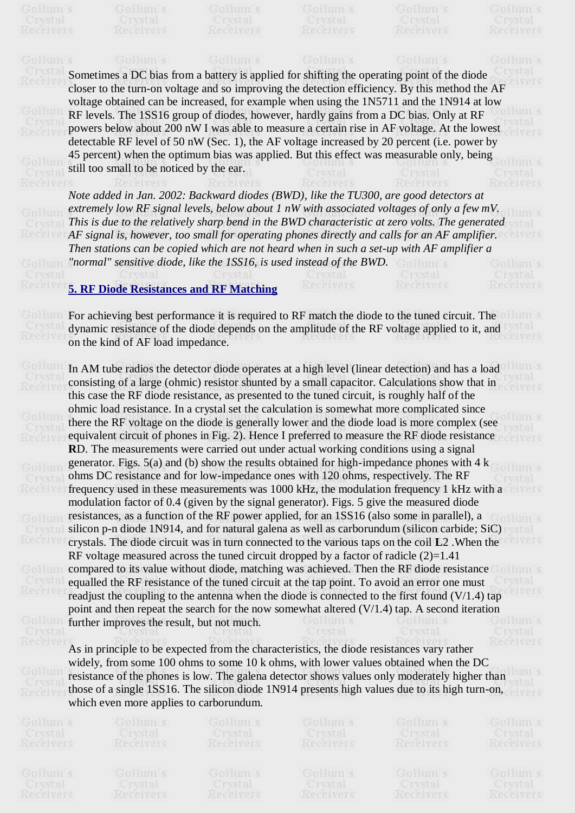Sometimes a DC bias from a battery is applied for shifting the operating point of the diode closer to the turn-on voltage and so improving the detection efficiency. By this method the AF voltage obtained can be increased, for example when using the 1N5711 and the 1N914 at low RF levels. The 1SS16 group of diodes, however, hardly gains from a DC bias. Only at RF powers below about 200 nW I was able to measure a certain rise in AF voltage. At the lowest detectable RF level of 50 nW (Sec. 1), the AF voltage increased by 20 percent (i.e. power by 45 percent) when the optimum bias was applied. But this effect was measurable only, being still too small to be noticed by the ear.

*Note added in Jan. 2002: Backward diodes (BWD), like the TU300, are good detectors at extremely low RF signal levels, below about 1 nW with associated voltages of only a few mV. This is due to the relatively sharp bend in the BWD characteristic at zero volts. The generated AF signal is, however, too small for operating phones directly and calls for an AF amplifier. Then stations can be copied which are not heard when in such a set-up with AF amplifier a "normal" sensitive diode, like the 1SS16, is used instead of the BWD.* 

**5. RF Diode Resistances and RF Matching**

For achieving best performance it is required to RF match the diode to the tuned circuit. The dynamic resistance of the diode depends on the amplitude of the RF voltage applied to it, and on the kind of AF load impedance. We have been also the contract of the contract of the contract of  $\alpha$ 

In AM tube radios the detector diode operates at a high level (linear detection) and has a load consisting of a large (ohmic) resistor shunted by a small capacitor. Calculations show that in this case the RF diode resistance, as presented to the tuned circuit, is roughly half of the ohmic load resistance. In a crystal set the calculation is somewhat more complicated since there the RF voltage on the diode is generally lower and the diode load is more complex (see equivalent circuit of phones in Fig. 2). Hence I preferred to measure the RF diode resistance<br>RD. The measurements were carried out under actual working conditions using a signal **R**D. The measurements were carried out under actual working conditions using a signal generator. Figs. 5(a) and (b) show the results obtained for high-impedance phones with 4 k ohms DC resistance and for low-impedance ones with 120 ohms, respectively. The RF frequency used in these measurements was 1000 kHz, the modulation frequency 1 kHz with a maghiation feature of 0.4 (given by the giangle generator). First, 5 give the measured diade modulation factor of 0.4 (given by the signal generator). Figs. 5 give the measured diode resistances, as a function of the RF power applied, for an 1SS16 (also some in parallel), a silicon p-n diode 1N914, and for natural galena as well as carborundum (silicon carbide; SiC) crystals. The diode circuit was in turn connected to the various taps on the coil **L**2 .When the RF voltage measured across the tuned circuit dropped by a factor of radicle (2)=1.41 compared to its value without diode, matching was achieved. Then the RF diode resistance equalled the RF resistance of the tuned circuit at the tap point. To avoid an error one must readjust the coupling to the antenna when the diode is connected to the first found (V/1.4) tap point and then repeat the search for the now somewhat altered (V/1.4) tap. A second iteration further improves the result, but not much.

As in principle to be expected from the characteristics, the diode resistances vary rather widely, from some 100 ohms to some 10 k ohms, with lower values obtained when the DC resistance of the phones is low. The galena detector shows values only moderately higher than those of a single 1SS16. The silicon diode 1N914 presents high values due to its high turn-on, which even more applies to carborundum.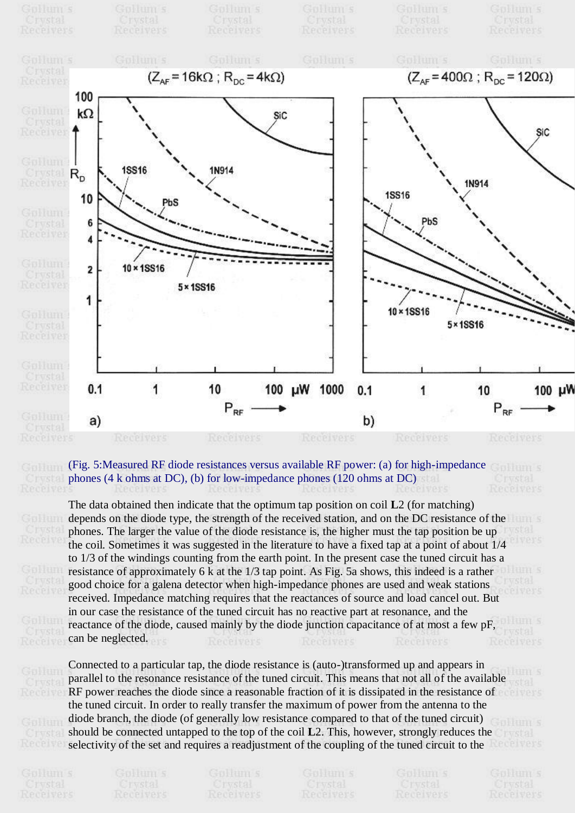

(Fig. 5:Measured RF diode resistances versus available RF power: (a) for high-impedance phones (4 k ohms at DC), (b) for low-impedance phones (120 ohms at DC)

The data obtained then indicate that the optimum tap position on coil **L**2 (for matching) depends on the diode type, the strength of the received station, and on the DC resistance of the phones. The larger the value of the diode resistance is, the higher must the tap position be up the coil. Sometimes it was suggested in the literature to have a fixed tap at a point of about 1/4 to 1/3 of the windings counting from the earth point. In the present case the tuned circuit has a resistance of approximately 6 k at the 1/3 tap point. As Fig. 5a shows, this indeed is a rather good choice for a galena detector when high-impedance phones are used and weak stations received. Impedance matching requires that the reactances of source and load cancel out. But in our case the resistance of the tuned circuit has no reactive part at resonance, and the reactance of the diode, caused mainly by the diode junction capacitance of at most a few pF, can be neglected.

Connected to a particular tap, the diode resistance is (auto-)transformed up and appears in parallel to the resonance resistance of the tuned circuit. This means that not all of the available RF power reaches the diode since a reasonable fraction of it is dissipated in the resistance of<br>the tuned circuit. In order to really transfer the maximum of power from the antenna to the the tuned circuit. In order to really transfer the maximum of power from the antenna to the diode branch, the diode (of generally low resistance compared to that of the tuned circuit) should be connected untapped to the top of the coil **L**2. This, however, strongly reduces the

selectivity of the set and requires a readjustment of the coupling of the tuned circuit to the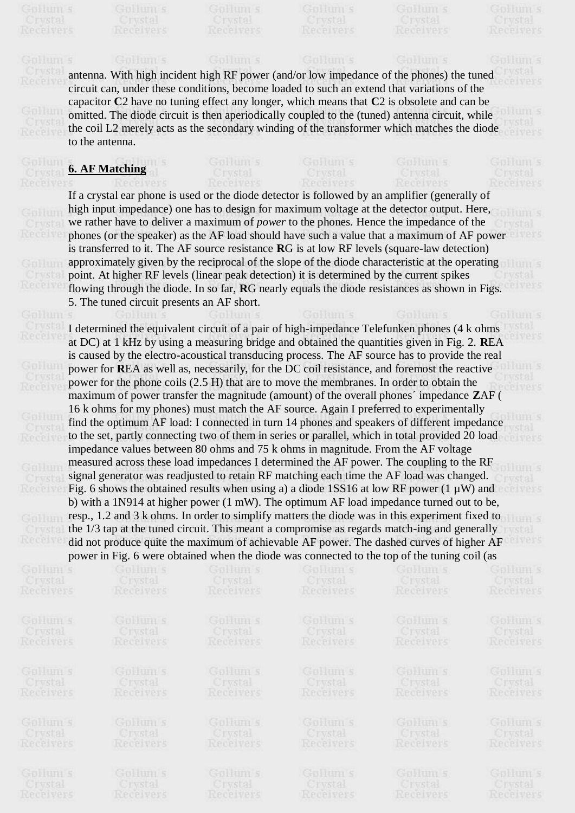antenna. With high incident high RF power (and/or low impedance of the phones) the tuned circuit can, under these conditions, become loaded to such an extend that variations of the

capacitor **C**2 have no tuning effect any longer, which means that **C**2 is obsolete and can be omitted. The diode circuit is then aperiodically coupled to the (tuned) antenna circuit, while the coil L2 merely acts as the secondary winding of the transformer which matches the diode<br>to the antanna to the antenna.

## **6. AF Matching**

If a crystal ear phone is used or the diode detector is followed by an amplifier (generally of high input impedance) one has to design for maximum voltage at the detector output. Here, we rather have to deliver a maximum of *power* to the phones. Hence the impedance of the phones (or the speaker) as the AF load should have such a value that a maximum of AF power is transferred to it. The AF source resistance **R**G is at low RF levels (square-law detection) approximately given by the reciprocal of the slope of the diode characteristic at the operating point. At higher RF levels (linear peak detection) it is determined by the current spikes flowing through the diode. In so far, **RG** nearly equals the diode resistances as shown in Figs. 5. The tuned circuit presents an AF short.

I determined the equivalent circuit of a pair of high-impedance Telefunken phones (4 k ohms at DC) at 1 kHz by using a measuring bridge and obtained the quantities given in Fig. 2. **R**EA is caused by the electro-acoustical transducing process. The AF source has to provide the real power for **R**EA as well as, necessarily, for the DC coil resistance, and foremost the reactive power for the phone coils (2.5 H) that are to move the membranes. In order to obtain the maximum of power transfer the magnitude (amount) of the overall phones´ impedance **Z**AF ( 16 k ohms for my phones) must match the AF source. Again I preferred to experimentally find the optimum AF load: I connected in turn 14 phones and speakers of different impedance to the set, partly connecting two of them in series or parallel, which in total provided 20 load impedance values between 80 ohms and 75 k ohms in magnitude. From the AF voltage measured across these load impedances I determined the AF power. The coupling to the RF signal generator was readjusted to retain RF matching each time the AF load was changed. Fig. 6 shows the obtained results when using a) a diode 1SS16 at low RF power (1  $\mu$ W) and b) with a 1N914 at higher power (1 mW). The optimum AF load impedance turned out to be, resp., 1.2 and 3 k ohms. In order to simplify matters the diode was in this experiment fixed to the 1/3 tap at the tuned circuit. This meant a compromise as regards match-ing and generally did not produce quite the maximum of achievable AF power. The dashed curves of higher AF power in Fig. 6 were obtained when the diode was connected to the top of the tuning coil (as

| GBHUH S          | GBHUH S          | GBHUILS          | GBHUILS   | GBHUILS   | GBHUH S          |
|------------------|------------------|------------------|-----------|-----------|------------------|
| Crystal          | Crystal          | Crystal          | Crysta    | Crystal   | Crystal          |
| Receivers        | Receivers        | Receivers        | Receivers | Receivers | Receivers        |
| GBHHITH S        | GBHUILS          | Goldum s         | Goldum s  | Gulaum s  | GBHUILS          |
| Crystal          | Crystal          | Crystal          | Crystal   | Crystal   | Crystal          |
| <b>Nece vers</b> | Receivers        | Receivers        | Receivers | Receivers | Receivers        |
| GB-HITH S        | GBHUILS          | Goldum s         | Goldum s  | Gulaum s  | Goldum s         |
| Crystal          | Crystal          | Crystal          | Crystal   | Crystal   | Crystal          |
| <b>Nece vers</b> | Receivers        | Receivers        | Receivers | Receivers | Receivers        |
| GB-HITH S        | GBHUILS          | GBHUILS          | Goldum s  | Gulaum s  | GBHUILS          |
| Crystal          | Crystal          | Crystal          | Crystal   | Crystal   | Crystal          |
| Receivers        | Receivers        | Receivers        | Receivers | Receivers | Receivers        |
| Gulaum s         | Goldum s         | GpHum s          | Goldum s  | Goldum s  | GBHUILS          |
| Crystal          | Crystal          | <b>Crysta</b>    | Crystal   | Crystal   | Crystal          |
| Receivers        | <b>Nece vers</b> | <b>Nece vers</b> | Receivers | Receivers | <b>Nece vers</b> |
|                  |                  |                  |           |           |                  |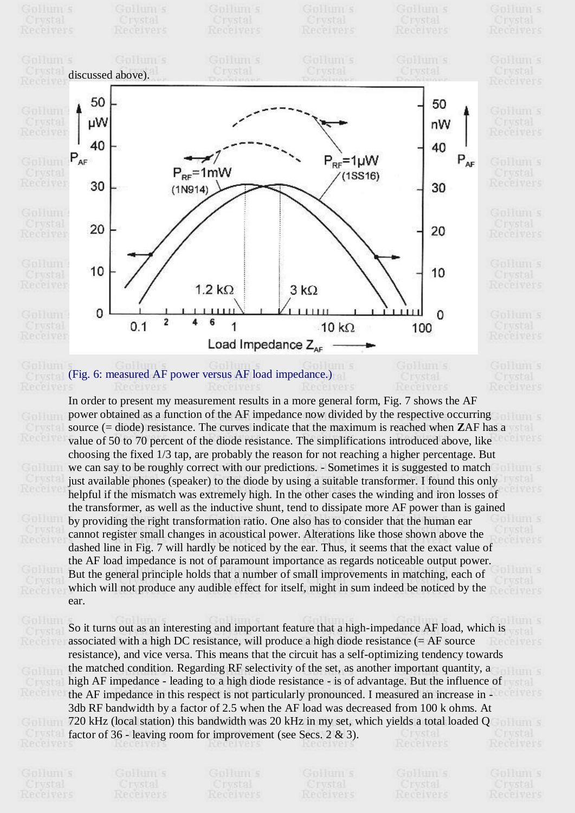

## (Fig. 6: measured AF power versus AF load impedance.)

In order to present my measurement results in a more general form, Fig. 7 shows the AF power obtained as a function of the AF impedance now divided by the respective occurring source (= diode) resistance. The curves indicate that the maximum is reached when **Z**AF has a value of 50 to 70 percent of the diode resistance. The simplifications introduced above, like choosing the fixed 1/3 tap, are probably the reason for not reaching a higher percentage. But we can say to be roughly correct with our predictions. - Sometimes it is suggested to match just available phones (speaker) to the diode by using a suitable transformer. I found this only helpful if the mismatch was extremely high. In the other cases the winding and iron losses of the transformer, as well as the inductive shunt, tend to dissipate more AF power than is gained by providing the right transformation ratio. One also has to consider that the human ear cannot register small changes in acoustical power. Alterations like those shown above the dashed line in Fig. 7 will hardly be noticed by the ear. Thus, it seems that the exact value of the AF load impedance is not of paramount importance as regards noticeable output power. But the general principle holds that a number of small improvements in matching, each of which will not produce any audible effect for itself, might in sum indeed be noticed by the ear.

So it turns out as an interesting and important feature that a high-impedance AF load, which is associated with a high DC resistance, will produce a high diode resistance (= AF source resistance), and vice versa. This means that the circuit has a self-optimizing tendency towards the matched condition. Regarding RF selectivity of the set, as another important quantity, a high AF impedance - leading to a high diode resistance - is of advantage. But the influence of the AF impedance in this respect is not particularly pronounced. I measured an increase in - 3db RF bandwidth by a factor of 2.5 when the AF load was decreased from 100 k ohms. At 720 kHz (local station) this bandwidth was 20 kHz in my set, which yields a total loaded Q

|                                          | factor of 36 - leaving room for improvement (see Secs. $2 \& 3$ ). | <b>TWSFAL</b>                            | <br><b>TWSFAL</b>                       |                                         |                                        |
|------------------------------------------|--------------------------------------------------------------------|------------------------------------------|-----------------------------------------|-----------------------------------------|----------------------------------------|
| Lece vers                                | <b>Necessers</b>                                                   | <b>Necesvers</b>                         | <b>Neceivers</b>                        | Receivers                               | Receivers                              |
| Spettmes<br><b>CINSTAL</b><br>Lecel Vers | Goldum s<br><b>TWSFAL</b><br>Receivers                             | Goldum s<br><b>Citystal</b><br>Receivers | Goldum s<br><b>CINSTAL</b><br>Receivers | Gullum s<br><b>CINSTAL</b><br>Receivers | Gullum s<br><b>TWSFAL</b><br>Receivers |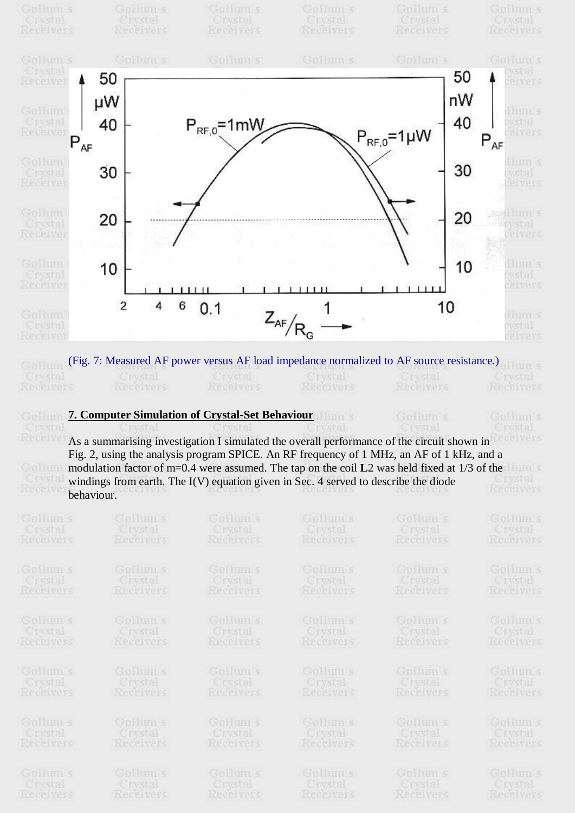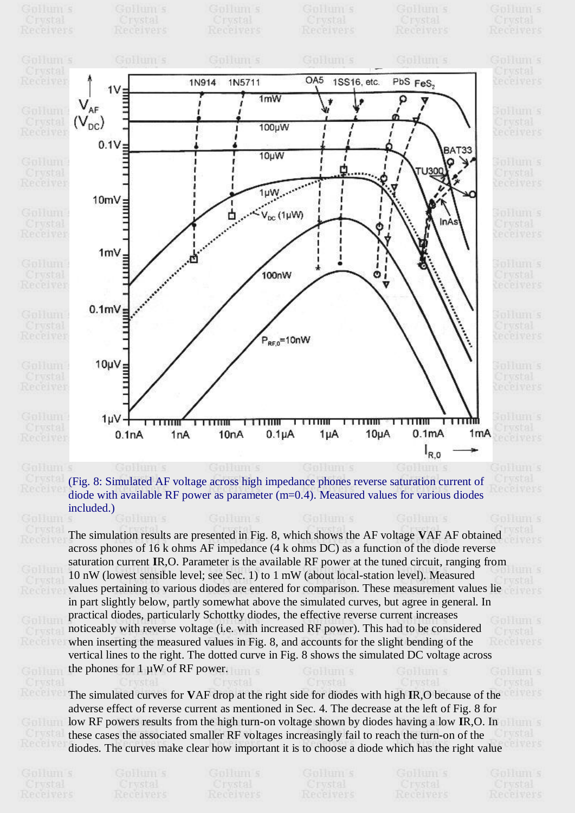

(Fig. 8: Simulated AF voltage across high impedance phones reverse saturation current of diode with available RF power as parameter (m=0.4). Measured values for various diodes included.)

The simulation results are presented in Fig. 8, which shows the AF voltage **V**AF AF obtained across phones of 16 k ohms AF impedance (4 k ohms DC) as a function of the diode reverse saturation current **I**R,O. Parameter is the available RF power at the tuned circuit, ranging from 10 nW (lowest sensible level; see Sec. 1) to 1 mW (about local-station level). Measured values pertaining to various diodes are entered for comparison. These measurement values lie in part slightly below, partly somewhat above the simulated curves, but agree in general. In practical diodes, particularly Schottky diodes, the effective reverse current increases noticeably with reverse voltage (i.e. with increased RF power). This had to be considered when inserting the measured values in Fig. 8, and accounts for the slight bending of the vertical lines to the right. The dotted curve in Fig. 8 shows the simulated DC voltage across the phones for 1 µW of RF power.

The simulated curves for **V**AF drop at the right side for diodes with high **I**R,O because of the adverse effect of reverse current as mentioned in Sec. 4. The decrease at the left of Fig. 8 for low RF powers results from the high turn-on voltage shown by diodes having a low **I**R,O. In these cases the associated smaller RF voltages increasingly fail to reach the turn-on of the diodes. The curves make clear how important it is to choose a diode which has the right value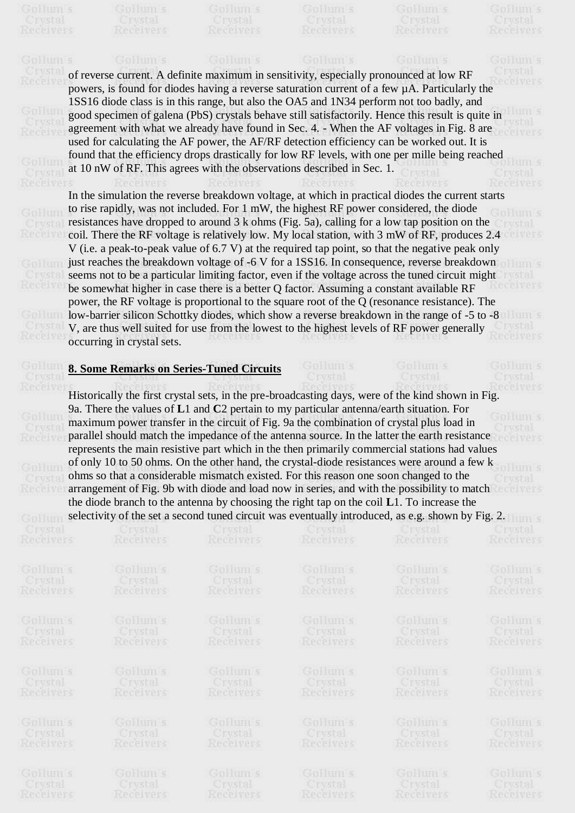of reverse current. A definite maximum in sensitivity, especially pronounced at low RF powers, is found for diodes having a reverse saturation current of a few µA. Particularly the

1SS16 diode class is in this range, but also the OA5 and 1N34 perform not too badly, and good specimen of galena (PbS) crystals behave still satisfactorily. Hence this result is quite in agreement with what we already have found in Sec. 4. - When the AF voltages in Fig. 8 are used for calculating the AF power, the AF/RF detection efficiency can be worked out. It is found that the efficiency drops drastically for low RF levels, with one per mille being reached at 10 nW of RF. This agrees with the observations described in Sec. 1.

In the simulation the reverse breakdown voltage, at which in practical diodes the current starts to rise rapidly, was not included. For 1 mW, the highest RF power considered, the diode resistances have dropped to around 3 k ohms (Fig. 5a), calling for a low tap position on the coil. There the RF voltage is relatively low. My local station, with 3 mW of RF, produces 2.4 V (i.e. a peak-to-peak value of 6.7 V) at the required tap point, so that the negative peak only just reaches the breakdown voltage of -6 V for a 1SS16. In consequence, reverse breakdown seems not to be a particular limiting factor, even if the voltage across the tuned circuit might be somewhat higher in case there is a better Q factor. Assuming a constant available RF power, the RF voltage is proportional to the square root of the Q (resonance resistance). The low-barrier silicon Schottky diodes, which show a reverse breakdown in the range of -5 to -8 V, are thus well suited for use from the lowest to the highest levels of RF power generally occurring in crystal sets.

## **8. Some Remarks on Series-Tuned Circuits**

Historically the first crystal sets, in the pre-broadcasting days, were of the kind shown in Fig. 9a. There the values of **L**1 and **C**2 pertain to my particular antenna/earth situation. For maximum power transfer in the circuit of Fig. 9a the combination of crystal plus load in parallel should match the impedance of the antenna source. In the latter the earth resistance represents the main resistive part which in the then primarily commercial stations had values of only 10 to 50 ohms. On the other hand, the crystal-diode resistances were around a few k ohms so that a considerable mismatch existed. For this reason one soon changed to the arrangement of Fig. 9b with diode and load now in series, and with the possibility to match the diode branch to the antenna by choosing the right tap on the coil **L**1. To increase the selectivity of the set a second tuned circuit was eventually introduced, as e.g. shown by Fig. 2.

| <b>SEPTHERES</b> |           | <b>SEPTHOLICS</b> | <b>ASSESSMENT ST</b> | <b>STRIPLIERS</b> | <b>CONTRACTOR</b> |
|------------------|-----------|-------------------|----------------------|-------------------|-------------------|
| Crystal          | Crystal   | Crystal           | Crystal              | Crystal           | Crystal           |
| Receivers        | Receivers | Receivers         | Receivers            | Receivers         | Neceivers         |
| GUHUILS          | GBHUILS   | Gullum s          | Goldum s             | Gullum s          | GBHUILS           |
| Crystal          | Crystal   | Crystal           | Crystal              | Crystal           | Crystal           |
| <b>Receivers</b> | Receivers | Receivers         | Receivers            | Receivers         | Receivers         |
| GBHUILS          | GBHUILS   | Gullum s          | Goldum s             | Goldum s          | Goldum s          |
| Crystal          | Crystal   | Crystal           | Crystal              | Crystal           | Crystal           |
| Receivers        | Receivers | Receivers         | Receivers            | Receivers         | Receivers         |
| Gullum s         | Goldung s | Goldum s          | Gphum s              | Gulum s           | Gallum s          |
| Crystal          | Crystal   | Crystal           | Crystal              | Crystal           | Crystal           |
| Receivers        | Receivers | Receivers         | Receivers            | Receivers         | Receivers         |
| Gullum s         | Goldum s  | Gullum s          | Goldum s             | Gullum s          | Goldum s          |
| Crystal          | Crystal   | Crystal           | Crystal              | Crystal           | Crystal           |
| Receivers        | Receivers | Receivers         | Receivers            | Receivers         | Receivers         |
| Gullum s         | Goldum s  | Goldum s          | Gpluum s             | Goldum s          | Goldum s          |
| Crystal          | Crystal   | Crystal           | Crystal              | Crystal           | Crystal           |
| Receivers        | Receivers | Receivers         | Receivers            | Receivers         | Receivers         |
|                  |           |                   |                      |                   |                   |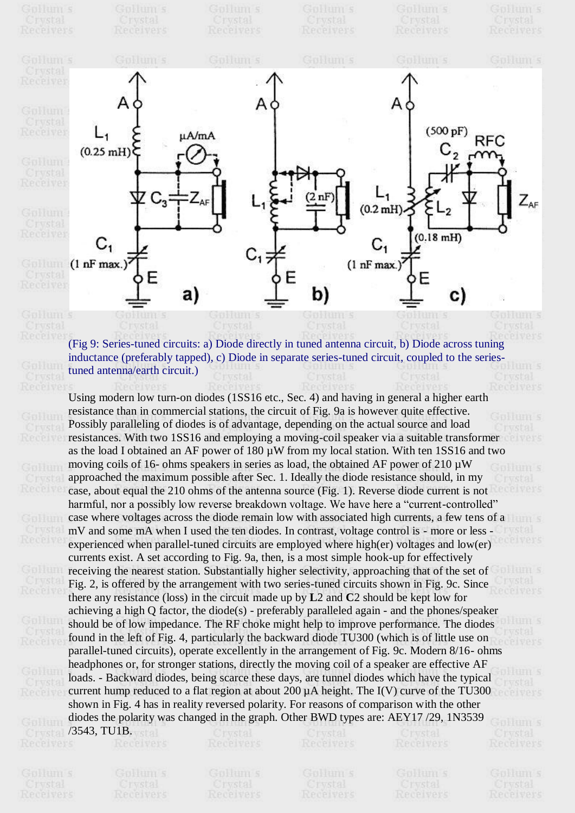

inductance (preferably tapped), c) Diode in separate series-tuned circuit, coupled to the series-

(Fig 9: Series-tuned circuits: a) Diode directly in tuned antenna circuit, b) Diode across tuning

Using modern low turn-on diodes (1SS16 etc., Sec. 4) and having in general a higher earth resistance than in commercial stations, the circuit of Fig. 9a is however quite effective. Possibly paralleling of diodes is of advantage, depending on the actual source and load resistances. With two 1SS16 and employing a moving-coil speaker via a suitable transformer as the load I obtained an AF power of 180 µW from my local station. With ten 1SS16 and two moving coils of 16- ohms speakers in series as load, the obtained AF power of 210  $\mu$ W approached the maximum possible after Sec. 1. Ideally the diode resistance should, in my case, about equal the 210 ohms of the antenna source (Fig. 1). Reverse diode current is not harmful, nor a possibly low reverse breakdown voltage. We have here a "current-controlled" case where voltages across the diode remain low with associated high currents, a few tens of a<br>mV and some mA when I used the ten diodes. In contrast, voltage control is upon or loss mV and some mA when I used the ten diodes. In contrast, voltage control is - more or less experienced when parallel-tuned circuits are employed where high(er) voltages and low(er) currents exist. A set according to Fig. 9a, then, is a most simple hook-up for effectively receiving the nearest station. Substantially higher selectivity, approaching that of the set of Fig. 2, is offered by the arrangement with two series-tuned circuits shown in Fig. 9c. Since there any resistance (loss) in the circuit made up by **L**2 and **C**2 should be kept low for achieving a high Q factor, the diode(s) - preferably paralleled again - and the phones/speaker should be of low impedance. The RF choke might help to improve performance. The diodes found in the left of Fig. 4, particularly the backward diode TU300 (which is of little use on found in the left of Fig. 4, particularly the backward diode 1 U300 (which is of little use on parallel-tuned circuits), operate excellently in the arrangement of Fig. 9c. Modern 8/16- ohms headphones or, for stronger stations, directly the moving coil of a speaker are effective AF loads. - Backward diodes, being scarce these days, are tunnel diodes which have the typical current hump reduced to a flat region at about 200  $\mu$ A height. The I(V) curve of the TU300 shown in Fig. 4 has in reality reversed polarity. For reasons of comparison with the other shown in Fig. 4 has in reality reversed polarity. For reasons of comparison with the other diodes the polarity was changed in the graph. Other BWD types are: AEY17 /29, 1N3539

/3543, TU1B.

tuned antenna/earth circuit.)